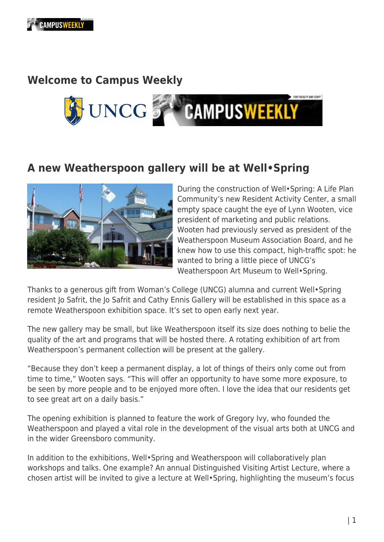# **Welcome to Campus Weekly**



## **A new Weatherspoon gallery will be at Well•Spring**



During the construction of Well•Spring: A Life Plan Community's new Resident Activity Center, a small empty space caught the eye of Lynn Wooten, vice president of marketing and public relations. Wooten had previously served as president of the Weatherspoon Museum Association Board, and he knew how to use this compact, high-traffic spot: he wanted to bring a little piece of UNCG's Weatherspoon Art Museum to Well•Spring.

Thanks to a generous gift from Woman's College (UNCG) alumna and current Well•Spring resident Jo Safrit, the Jo Safrit and Cathy Ennis Gallery will be established in this space as a remote Weatherspoon exhibition space. It's set to open early next year.

The new gallery may be small, but like Weatherspoon itself its size does nothing to belie the quality of the art and programs that will be hosted there. A rotating exhibition of art from Weatherspoon's permanent collection will be present at the gallery.

"Because they don't keep a permanent display, a lot of things of theirs only come out from time to time," Wooten says. "This will offer an opportunity to have some more exposure, to be seen by more people and to be enjoyed more often. I love the idea that our residents get to see great art on a daily basis."

The opening exhibition is planned to feature the work of Gregory Ivy, who founded the Weatherspoon and played a vital role in the development of the visual arts both at UNCG and in the wider Greensboro community.

In addition to the exhibitions, Well•Spring and Weatherspoon will collaboratively plan workshops and talks. One example? An annual Distinguished Visiting Artist Lecture, where a chosen artist will be invited to give a lecture at Well•Spring, highlighting the museum's focus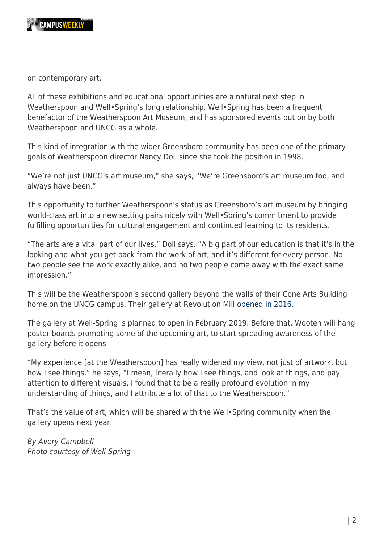

on contemporary art.

All of these exhibitions and educational opportunities are a natural next step in Weatherspoon and Well•Spring's long relationship. Well•Spring has been a frequent benefactor of the Weatherspoon Art Museum, and has sponsored events put on by both Weatherspoon and UNCG as a whole.

This kind of integration with the wider Greensboro community has been one of the primary goals of Weatherspoon director Nancy Doll since she took the position in 1998.

"We're not just UNCG's art museum," she says, "We're Greensboro's art museum too, and always have been."

This opportunity to further Weatherspoon's status as Greensboro's art museum by bringing world-class art into a new setting pairs nicely with Well•Spring's commitment to provide fulfilling opportunities for cultural engagement and continued learning to its residents.

"The arts are a vital part of our lives," Doll says. "A big part of our education is that it's in the looking and what you get back from the work of art, and it's different for every person. No two people see the work exactly alike, and no two people come away with the exact same impression."

This will be the Weatherspoon's second gallery beyond the walls of their Cone Arts Building home on the UNCG campus. Their gallery at Revolution Mill [opened in 2016](http://weatherspoon.uncg.edu/news/press-release-detail?title=Museum-Announcement-WAM-and-Revolution-Mill-Exciting-Collaboration).

The gallery at Well-Spring is planned to open in February 2019. Before that, Wooten will hang poster boards promoting some of the upcoming art, to start spreading awareness of the gallery before it opens.

"My experience [at the Weatherspoon] has really widened my view, not just of artwork, but how I see things," he says, "I mean, literally how I see things, and look at things, and pay attention to different visuals. I found that to be a really profound evolution in my understanding of things, and I attribute a lot of that to the Weatherspoon."

That's the value of art, which will be shared with the Well•Spring community when the gallery opens next year.

By Avery Campbell Photo courtesy of Well-Spring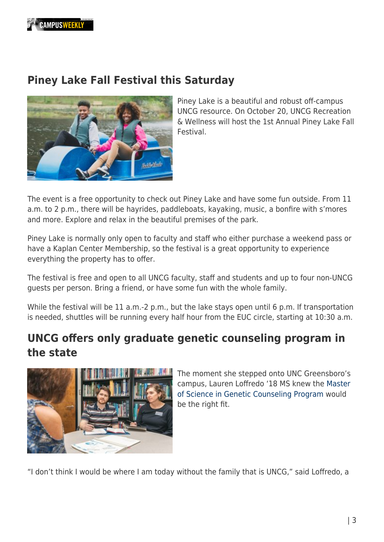

### **Piney Lake Fall Festival this Saturday**



Piney Lake is a beautiful and robust off-campus UNCG resource. On October 20, UNCG Recreation & Wellness will host the 1st Annual Piney Lake Fall Festival.

The event is a free opportunity to check out Piney Lake and have some fun outside. From 11 a.m. to 2 p.m., there will be hayrides, paddleboats, kayaking, music, a bonfire with s'mores and more. Explore and relax in the beautiful premises of the park.

Piney Lake is normally only open to faculty and staff who either purchase a weekend pass or have a Kaplan Center Membership, so the festival is a great opportunity to experience everything the property has to offer.

The festival is free and open to all UNCG faculty, staff and students and up to four non-UNCG guests per person. Bring a friend, or have some fun with the whole family.

While the festival will be 11 a.m.-2 p.m., but the lake stays open until 6 p.m. If transportation is needed, shuttles will be running every half hour from the EUC circle, starting at 10:30 a.m.

## **UNCG offers only graduate genetic counseling program in the state**



The moment she stepped onto UNC Greensboro's campus, Lauren Loffredo '18 MS knew the [Master](http://gen.wp.uncg.edu/) [of Science in Genetic Counseling Program](http://gen.wp.uncg.edu/) would be the right fit.

"I don't think I would be where I am today without the family that is UNCG," said Loffredo, a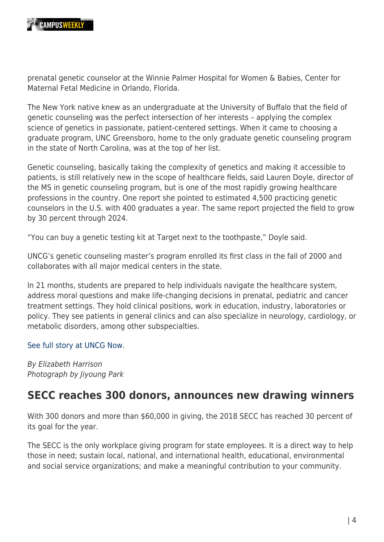

prenatal genetic counselor at the Winnie Palmer Hospital for Women & Babies, Center for Maternal Fetal Medicine in Orlando, Florida.

The New York native knew as an undergraduate at the University of Buffalo that the field of genetic counseling was the perfect intersection of her interests – applying the complex science of genetics in passionate, patient-centered settings. When it came to choosing a graduate program, UNC Greensboro, home to the only graduate genetic counseling program in the state of North Carolina, was at the top of her list.

Genetic counseling, basically taking the complexity of genetics and making it accessible to patients, is still relatively new in the scope of healthcare fields, said Lauren Doyle, director of the MS in genetic counseling program, but is one of the most rapidly growing healthcare professions in the country. One report she pointed to estimated 4,500 practicing genetic counselors in the U.S. with 400 graduates a year. The same report projected the field to grow by 30 percent through 2024.

"You can buy a genetic testing kit at Target next to the toothpaste," Doyle said.

UNCG's genetic counseling master's program enrolled its first class in the fall of 2000 and collaborates with all major medical centers in the state.

In 21 months, students are prepared to help individuals navigate the healthcare system, address moral questions and make life-changing decisions in prenatal, pediatric and cancer treatment settings. They hold clinical positions, work in education, industry, laboratories or policy. They see patients in general clinics and can also specialize in neurology, cardiology, or metabolic disorders, among other subspecialties.

#### [See full story at UNCG Now.](https://newsandfeatures.uncg.edu/genetic-counseling-program-provides-culture-of-care/)

By Elizabeth Harrison Photograph by Jiyoung Park

#### **SECC reaches 300 donors, announces new drawing winners**

With 300 donors and more than \$60,000 in giving, the 2018 SECC has reached 30 percent of its goal for the year.

The SECC is the only workplace giving program for state employees. It is a direct way to help those in need; sustain local, national, and international health, educational, environmental and social service organizations; and make a meaningful contribution to your community.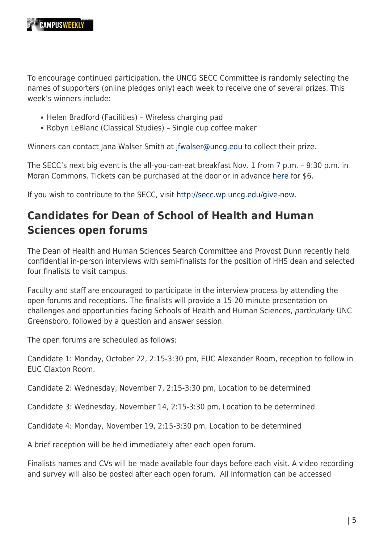To encourage continued participation, the UNCG SECC Committee is randomly selecting the names of supporters (online pledges only) each week to receive one of several prizes. This week's winners include:

- Helen Bradford (Facilities) Wireless charging pad
- Robyn LeBlanc (Classical Studies) Single cup coffee maker

Winners can contact Jana Walser Smith at [jfwalser@uncg.edu](mailto:jfwalser@uncg.edu) to collect their prize.

The SECC's next big event is the all-you-can-eat breakfast Nov. 1 from 7 p.m. – 9:30 p.m. in Moran Commons. Tickets can be purchased at the door or in advance [here](http://imagecollection.photoshelter.com/gallery-image/2018-Tickets/G0000jj_y5WHpNRY/I0000bu4FJ9faiUg) for \$6.

If you wish to contribute to the SECC, visit [http://secc.wp.uncg.edu/give-now.](http://secc.wp.uncg.edu/give-now/)

# **Candidates for Dean of School of Health and Human Sciences open forums**

The Dean of Health and Human Sciences Search Committee and Provost Dunn recently held confidential in-person interviews with semi-finalists for the position of HHS dean and selected four finalists to visit campus.

Faculty and staff are encouraged to participate in the interview process by attending the open forums and receptions. The finalists will provide a 15-20 minute presentation on challenges and opportunities facing Schools of Health and Human Sciences, particularly UNC Greensboro, followed by a question and answer session.

The open forums are scheduled as follows:

Candidate 1: Monday, October 22, 2:15-3:30 pm, EUC Alexander Room, reception to follow in EUC Claxton Room.

Candidate 2: Wednesday, November 7, 2:15-3:30 pm, Location to be determined

Candidate 3: Wednesday, November 14, 2:15-3:30 pm, Location to be determined

Candidate 4: Monday, November 19, 2:15-3:30 pm, Location to be determined

A brief reception will be held immediately after each open forum.

Finalists names and CVs will be made available four days before each visit. A video recording and survey will also be posted after each open forum. All information can be accessed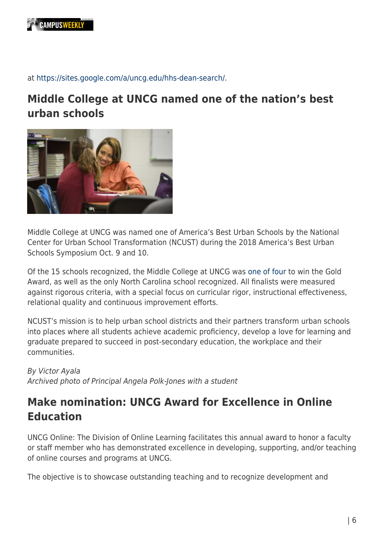

#### at [https://sites.google.com/a/uncg.edu/hhs-dean-search/.](https://sites.google.com/a/uncg.edu/hhs-dean-search/)

## **Middle College at UNCG named one of the nation's best urban schools**



Middle College at UNCG was named one of America's Best Urban Schools by the National Center for Urban School Transformation (NCUST) during the 2018 America's Best Urban Schools Symposium Oct. 9 and 10.

Of the 15 schools recognized, the Middle College at UNCG was [one of four](https://ncust.com/2018-abus-award-winners/) to win the Gold Award, as well as the only North Carolina school recognized. All finalists were measured against rigorous criteria, with a special focus on curricular rigor, instructional effectiveness, relational quality and continuous improvement efforts.

NCUST's mission is to help urban school districts and their partners transform urban schools into places where all students achieve academic proficiency, develop a love for learning and graduate prepared to succeed in post-secondary education, the workplace and their communities.

#### By Victor Ayala Archived photo of Principal Angela Polk-Jones with a student

## **Make nomination: UNCG Award for Excellence in Online Education**

UNCG Online: The Division of Online Learning facilitates this annual award to honor a faculty or staff member who has demonstrated excellence in developing, supporting, and/or teaching of online courses and programs at UNCG.

The objective is to showcase outstanding teaching and to recognize development and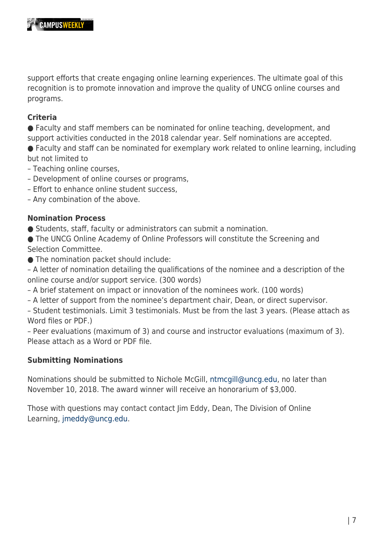support efforts that create engaging online learning experiences. The ultimate goal of this recognition is to promote innovation and improve the quality of UNCG online courses and programs.

#### **Criteria**

● Faculty and staff members can be nominated for online teaching, development, and support activities conducted in the 2018 calendar year. Self nominations are accepted.

● Faculty and staff can be nominated for exemplary work related to online learning, including but not limited to

- Teaching online courses,
- Development of online courses or programs,
- Effort to enhance online student success,
- Any combination of the above.

#### **Nomination Process**

● Students, staff, faculty or administrators can submit a nomination.

● The UNCG Online Academy of Online Professors will constitute the Screening and Selection Committee.

● The nomination packet should include:

– A letter of nomination detailing the qualifications of the nominee and a description of the online course and/or support service. (300 words)

- A brief statement on impact or innovation of the nominees work. (100 words)
- A letter of support from the nominee's department chair, Dean, or direct supervisor.

– Student testimonials. Limit 3 testimonials. Must be from the last 3 years. (Please attach as Word files or PDF.)

– Peer evaluations (maximum of 3) and course and instructor evaluations (maximum of 3). Please attach as a Word or PDF file.

#### **Submitting Nominations**

Nominations should be submitted to Nichole McGill, [ntmcgill@uncg.edu,](mailto:ntmcgill@uncg.edu) no later than November 10, 2018. The award winner will receive an honorarium of \$3,000.

Those with questions may contact contact Jim Eddy, Dean, The Division of Online Learning, [jmeddy@uncg.edu.](mailto:jmeddy@uncg.edu)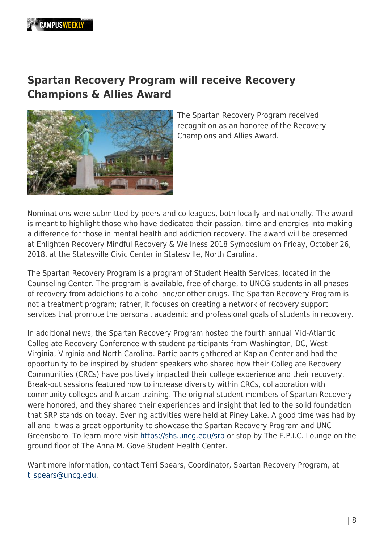

### **Spartan Recovery Program will receive Recovery Champions & Allies Award**



The Spartan Recovery Program received recognition as an honoree of the Recovery Champions and Allies Award.

Nominations were submitted by peers and colleagues, both locally and nationally. The award is meant to highlight those who have dedicated their passion, time and energies into making a difference for those in mental health and addiction recovery. The award will be presented at Enlighten Recovery Mindful Recovery & Wellness 2018 Symposium on Friday, October 26, 2018, at the Statesville Civic Center in Statesville, North Carolina.

The Spartan Recovery Program is a program of Student Health Services, located in the Counseling Center. The program is available, free of charge, to UNCG students in all phases of recovery from addictions to alcohol and/or other drugs. The Spartan Recovery Program is not a treatment program; rather, it focuses on creating a network of recovery support services that promote the personal, academic and professional goals of students in recovery.

In additional news, the Spartan Recovery Program hosted the fourth annual Mid-Atlantic Collegiate Recovery Conference with student participants from Washington, DC, West Virginia, Virginia and North Carolina. Participants gathered at Kaplan Center and had the opportunity to be inspired by student speakers who shared how their Collegiate Recovery Communities (CRCs) have positively impacted their college experience and their recovery. Break-out sessions featured how to increase diversity within CRCs, collaboration with community colleges and Narcan training. The original student members of Spartan Recovery were honored, and they shared their experiences and insight that led to the solid foundation that SRP stands on today. Evening activities were held at Piney Lake. A good time was had by all and it was a great opportunity to showcase the Spartan Recovery Program and UNC Greensboro. To learn more visit<https://shs.uncg.edu/srp> or stop by The E.P.I.C. Lounge on the ground floor of The Anna M. Gove Student Health Center.

Want more information, contact Terri Spears, Coordinator, Spartan Recovery Program, at [t\\_spears@uncg.edu](mailto:t_spears@uncg.edu).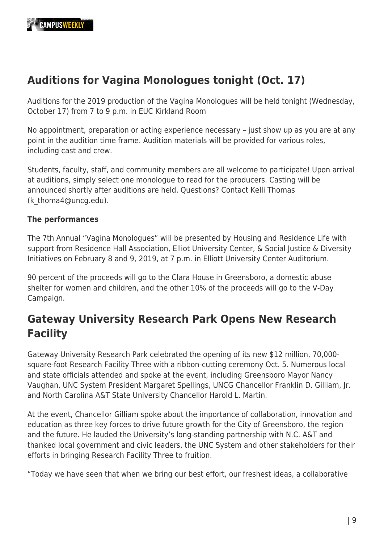

# **Auditions for Vagina Monologues tonight (Oct. 17)**

Auditions for the 2019 production of the Vagina Monologues will be held tonight (Wednesday, October 17) from 7 to 9 p.m. in EUC Kirkland Room

No appointment, preparation or acting experience necessary – just show up as you are at any point in the audition time frame. Audition materials will be provided for various roles, including cast and crew.

Students, faculty, staff, and community members are all welcome to participate! Upon arrival at auditions, simply select one monologue to read for the producers. Casting will be announced shortly after auditions are held. Questions? Contact Kelli Thomas (k\_thoma4@uncg.edu).

#### **The performances**

The 7th Annual "Vagina Monologues" will be presented by Housing and Residence Life with support from Residence Hall Association, Elliot University Center, & Social Justice & Diversity Initiatives on February 8 and 9, 2019, at 7 p.m. in Elliott University Center Auditorium.

90 percent of the proceeds will go to the Clara House in Greensboro, a domestic abuse shelter for women and children, and the other 10% of the proceeds will go to the V-Day Campaign.

# **Gateway University Research Park Opens New Research Facility**

Gateway University Research Park celebrated the opening of its new \$12 million, 70,000 square-foot Research Facility Three with a ribbon-cutting ceremony Oct. 5. Numerous local and state officials attended and spoke at the event, including Greensboro Mayor Nancy Vaughan, UNC System President Margaret Spellings, UNCG Chancellor Franklin D. Gilliam, Jr. and North Carolina A&T State University Chancellor Harold L. Martin.

At the event, Chancellor Gilliam spoke about the importance of collaboration, innovation and education as three key forces to drive future growth for the City of Greensboro, the region and the future. He lauded the University's long-standing partnership with N.C. A&T and thanked local government and civic leaders, the UNC System and other stakeholders for their efforts in bringing Research Facility Three to fruition.

"Today we have seen that when we bring our best effort, our freshest ideas, a collaborative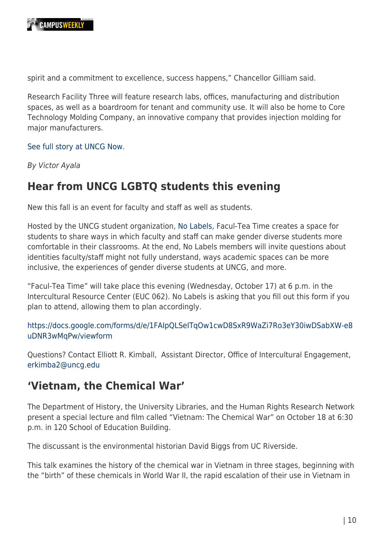spirit and a commitment to excellence, success happens," Chancellor Gilliam said.

Research Facility Three will feature research labs, offices, manufacturing and distribution spaces, as well as a boardroom for tenant and community use. It will also be home to Core Technology Molding Company, an innovative company that provides injection molding for major manufacturers.

[See full story at UNCG Now.](https://newsandfeatures.uncg.edu/gateway-university-research-park-research-facility/)

By Victor Ayala

### **Hear from UNCG LGBTQ students this evening**

New this fall is an event for faculty and staff as well as students.

Hosted by the UNCG student organization, [No Labels,](https://intercultural.uncg.edu/student-advocacy-outreach/lgbt-community/lgbtq-student-groups) Facul-Tea Time creates a space for students to share ways in which faculty and staff can make gender diverse students more comfortable in their classrooms. At the end, No Labels members will invite questions about identities faculty/staff might not fully understand, ways academic spaces can be more inclusive, the experiences of gender diverse students at UNCG, and more.

"Facul-Tea Time" will take place this evening (Wednesday, October 17) at 6 p.m. in the Intercultural Resource Center (EUC 062). No Labels is asking that you fill out this form if you plan to attend, allowing them to plan accordingly.

[https://docs.google.com/forms/d/e/1FAIpQLSeITqOw1cwD8SxR9WaZi7Ro3eY30iwDSabXW-e8](https://docs.google.com/forms/d/e/1FAIpQLSeITqOw1cwD8SxR9WaZi7Ro3eY30iwDSabXW-e8uDNR3wMqPw/viewform) [uDNR3wMqPw/viewform](https://docs.google.com/forms/d/e/1FAIpQLSeITqOw1cwD8SxR9WaZi7Ro3eY30iwDSabXW-e8uDNR3wMqPw/viewform)

Questions? Contact Elliott R. Kimball, Assistant Director, Office of Intercultural Engagement, [erkimba2@uncg.edu](mailto:erkimba2@uncg.edu)

### **'Vietnam, the Chemical War'**

The Department of History, the University Libraries, and the Human Rights Research Network present a special lecture and film called "Vietnam: The Chemical War" on October 18 at 6:30 p.m. in 120 School of Education Building.

The discussant is the environmental historian David Biggs from UC Riverside.

This talk examines the history of the chemical war in Vietnam in three stages, beginning with the "birth" of these chemicals in World War II, the rapid escalation of their use in Vietnam in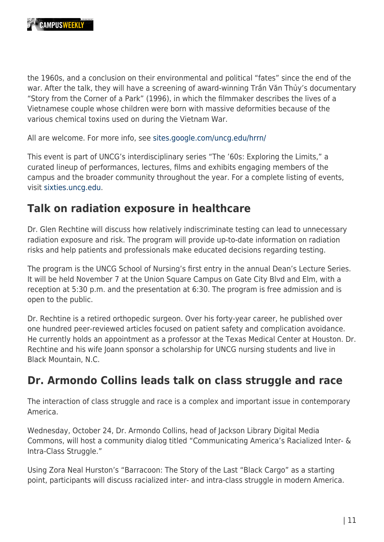the 1960s, and a conclusion on their environmental and political "fates" since the end of the war. After the talk, they will have a screening of award-winning Trần Văn Thủy's documentary "Story from the Corner of a Park" (1996), in which the filmmaker describes the lives of a Vietnamese couple whose children were born with massive deformities because of the various chemical toxins used on during the Vietnam War.

All are welcome. For more info, see [sites.google.com/uncg.edu/hrrn/](http://sites.google.com/uncg.edu/hrrn/)

This event is part of UNCG's interdisciplinary series "The '60s: Exploring the Limits," a curated lineup of performances, lectures, films and exhibits engaging members of the campus and the broader community throughout the year. For a complete listing of events, visit [sixties.uncg.edu](http://sixties.uncg.edu/).

### **Talk on radiation exposure in healthcare**

Dr. Glen Rechtine will discuss how relatively indiscriminate testing can lead to unnecessary radiation exposure and risk. The program will provide up-to-date information on radiation risks and help patients and professionals make educated decisions regarding testing.

The program is the UNCG School of Nursing's first entry in the annual Dean's Lecture Series. It will be held November 7 at the Union Square Campus on Gate City Blvd and Elm, with a reception at 5:30 p.m. and the presentation at 6:30. The program is free admission and is open to the public.

Dr. Rechtine is a retired orthopedic surgeon. Over his forty-year career, he published over one hundred peer-reviewed articles focused on patient safety and complication avoidance. He currently holds an appointment as a professor at the Texas Medical Center at Houston. Dr. Rechtine and his wife Joann sponsor a scholarship for UNCG nursing students and live in Black Mountain, N.C.

# **Dr. Armondo Collins leads talk on class struggle and race**

The interaction of class struggle and race is a complex and important issue in contemporary America.

Wednesday, October 24, Dr. Armondo Collins, head of Jackson Library Digital Media Commons, will host a community dialog titled "Communicating America's Racialized Inter- & Intra-Class Struggle."

Using Zora Neal Hurston's "Barracoon: The Story of the Last "Black Cargo" as a starting point, participants will discuss racialized inter- and intra-class struggle in modern America.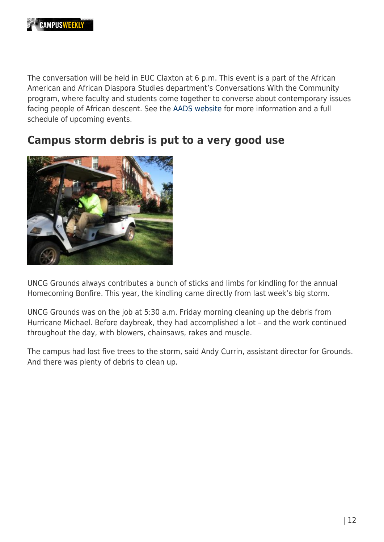

The conversation will be held in EUC Claxton at 6 p.m. This event is a part of the African American and African Diaspora Studies department's Conversations With the Community program, where faculty and students come together to converse about contemporary issues facing people of African descent. See the [AADS website](https://aads.uncg.edu/news-events/conversations/) for more information and a full schedule of upcoming events.

#### **Campus storm debris is put to a very good use**



UNCG Grounds always contributes a bunch of sticks and limbs for kindling for the annual Homecoming Bonfire. This year, the kindling came directly from last week's big storm.

UNCG Grounds was on the job at 5:30 a.m. Friday morning cleaning up the debris from Hurricane Michael. Before daybreak, they had accomplished a lot – and the work continued throughout the day, with blowers, chainsaws, rakes and muscle.

The campus had lost five trees to the storm, said Andy Currin, assistant director for Grounds. And there was plenty of debris to clean up.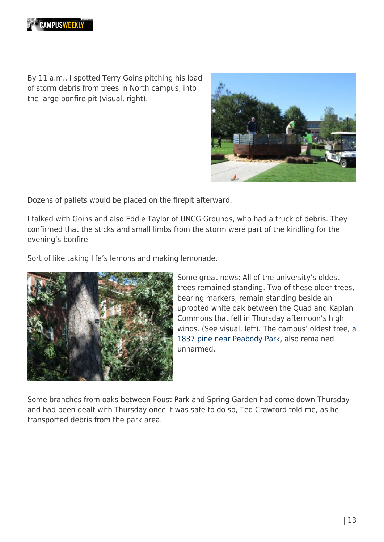

By 11 a.m., I spotted Terry Goins pitching his load of storm debris from trees in North campus, into the large bonfire pit (visual, right).



Dozens of pallets would be placed on the firepit afterward.

I talked with Goins and also Eddie Taylor of UNCG Grounds, who had a truck of debris. They confirmed that the sticks and small limbs from the storm were part of the kindling for the evening's bonfire.

Sort of like taking life's lemons and making lemonade.



Some great news: All of the university's oldest trees remained standing. Two of these older trees, bearing markers, remain standing beside an uprooted white oak between the Quad and Kaplan Commons that fell in Thursday afternoon's high winds. (See visual, left). The campus' oldest tree, [a](https://newsandfeatures.uncg.edu/oldest-trees-on-campus/) [1837 pine near Peabody Park](https://newsandfeatures.uncg.edu/oldest-trees-on-campus/), also remained unharmed.

Some branches from oaks between Foust Park and Spring Garden had come down Thursday and had been dealt with Thursday once it was safe to do so, Ted Crawford told me, as he transported debris from the park area.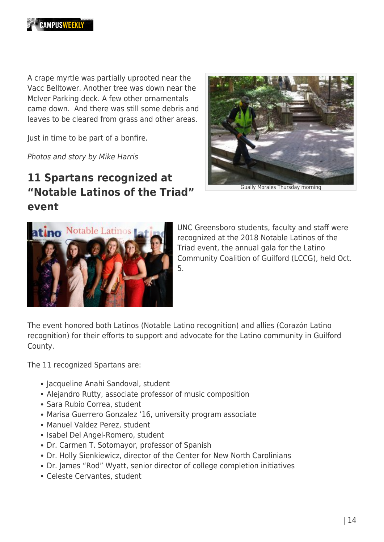A crape myrtle was partially uprooted near the Vacc Belltower. Another tree was down near the McIver Parking deck. A few other ornamentals came down. And there was still some debris and leaves to be cleared from grass and other areas.

Just in time to be part of a bonfire.

Photos and story by Mike Harris

# **11 Spartans recognized at "Notable Latinos of the Triad" event**



Gually Morales Thursday morning



UNC Greensboro students, faculty and staff were recognized at the 2018 Notable Latinos of the Triad event, the annual gala for the Latino Community Coalition of Guilford (LCCG), held Oct. 5.

The event honored both Latinos (Notable Latino recognition) and allies (Corazón Latino recognition) for their efforts to support and advocate for the Latino community in Guilford County.

The 11 recognized Spartans are:

- Jacqueline Anahi Sandoval, student
- Alejandro Rutty, associate professor of music composition
- Sara Rubio Correa, student
- Marisa Guerrero Gonzalez '16, university program associate
- Manuel Valdez Perez, student
- Isabel Del Angel-Romero, student
- Dr. Carmen T. Sotomayor, professor of Spanish
- Dr. Holly Sienkiewicz, director of the Center for New North Carolinians
- Dr. James "Rod" Wyatt, senior director of college completion initiatives
- Celeste Cervantes, student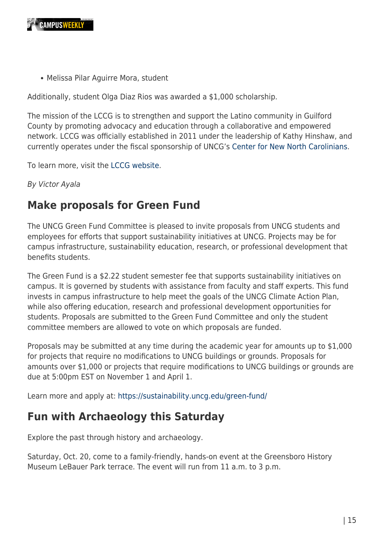

Melissa Pilar Aguirre Mora, student

Additionally, student Olga Diaz Rios was awarded a \$1,000 scholarship.

The mission of the LCCG is to strengthen and support the Latino community in Guilford County by promoting advocacy and education through a collaborative and empowered network. LCCG was officially established in 2011 under the leadership of Kathy Hinshaw, and currently operates under the fiscal sponsorship of UNCG's [Center for New North Carolinians.](https://cnnc.uncg.edu/)

To learn more, visit the [LCCG website.](https://cnnc.uncg.edu/latino-community-coalition-of-guilford/)

By Victor Ayala

#### **Make proposals for Green Fund**

The UNCG Green Fund Committee is pleased to invite proposals from UNCG students and employees for efforts that support sustainability initiatives at UNCG. Projects may be for campus infrastructure, sustainability education, research, or professional development that benefits students.

The Green Fund is a \$2.22 student semester fee that supports sustainability initiatives on campus. It is governed by students with assistance from faculty and staff experts. This fund invests in campus infrastructure to help meet the goals of the UNCG Climate Action Plan, while also offering education, research and professional development opportunities for students. Proposals are submitted to the Green Fund Committee and only the student committee members are allowed to vote on which proposals are funded.

Proposals may be submitted at any time during the academic year for amounts up to \$1,000 for projects that require no modifications to UNCG buildings or grounds. Proposals for amounts over \$1,000 or projects that require modifications to UNCG buildings or grounds are due at 5:00pm EST on November 1 and April 1.

Learn more and apply at: <https://sustainability.uncg.edu/green-fund/>

#### **Fun with Archaeology this Saturday**

Explore the past through history and archaeology.

Saturday, Oct. 20, come to a family-friendly, hands-on event at the Greensboro History Museum LeBauer Park terrace. The event will run from 11 a.m. to 3 p.m.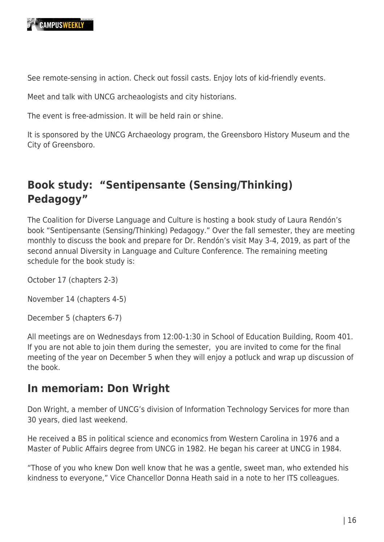

See remote-sensing in action. Check out fossil casts. Enjoy lots of kid-friendly events.

Meet and talk with UNCG archeaologists and city historians.

The event is free-admission. It will be held rain or shine.

It is sponsored by the UNCG Archaeology program, the Greensboro History Museum and the City of Greensboro.

# **Book study: "Sentipensante (Sensing/Thinking) Pedagogy"**

The Coalition for Diverse Language and Culture is hosting a book study of Laura Rendón's book "Sentipensante (Sensing/Thinking) Pedagogy." Over the fall semester, they are meeting monthly to discuss the book and prepare for Dr. Rendón's visit May 3-4, 2019, as part of the second annual Diversity in Language and Culture Conference. The remaining meeting schedule for the book study is:

October 17 (chapters 2-3)

November 14 (chapters 4-5)

December 5 (chapters 6-7)

All meetings are on Wednesdays from 12:00-1:30 in School of Education Building, Room 401. If you are not able to join them during the semester, you are invited to come for the final meeting of the year on December 5 when they will enjoy a potluck and wrap up discussion of the book.

#### **In memoriam: Don Wright**

Don Wright, a member of UNCG's division of Information Technology Services for more than 30 years, died last weekend.

He received a BS in political science and economics from Western Carolina in 1976 and a Master of Public Affairs degree from UNCG in 1982. He began his career at UNCG in 1984.

"Those of you who knew Don well know that he was a gentle, sweet man, who extended his kindness to everyone," Vice Chancellor Donna Heath said in a note to her ITS colleagues.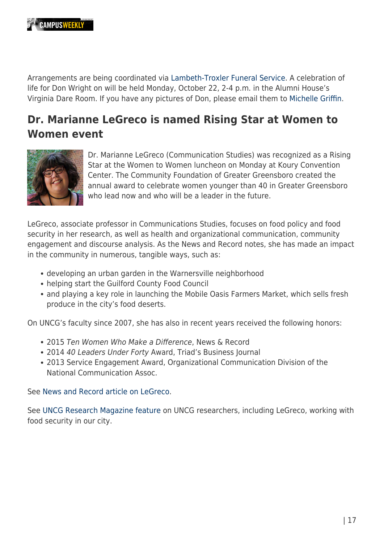Arrangements are being coordinated via [Lambeth-Troxler Funeral Service](https://lambethtroxlerfuneralhome.com/tribute/details/109099/Donald-Wright/obituary.html#tribute-start). A celebration of life for Don Wright on will be held Monday, October 22, 2-4 p.m. in the Alumni House's Virginia Dare Room. If you have any pictures of Don, please email them to [Michelle Griffin.](mailto:m_griff2@uncg.edu>)

# **Dr. Marianne LeGreco is named Rising Star at Women to Women event**



Dr. Marianne LeGreco (Communication Studies) was recognized as a Rising Star at the Women to Women luncheon on Monday at Koury Convention Center. The Community Foundation of Greater Greensboro created the annual award to celebrate women younger than 40 in Greater Greensboro who lead now and who will be a leader in the future.

LeGreco, associate professor in Communications Studies, focuses on food policy and food security in her research, as well as health and organizational communication, community engagement and discourse analysis. As the News and Record notes, she has made an impact in the community in numerous, tangible ways, such as:

- developing an urban garden in the Warnersville neighborhood
- helping start the Guilford County Food Council
- and playing a key role in launching the Mobile Oasis Farmers Market, which sells fresh produce in the city's food deserts.

On UNCG's faculty since 2007, she has also in recent years received the following honors:

- 2015 Ten Women Who Make a Difference, News & Record
- 2014 40 Leaders Under Forty Award, Triad's Business Journal
- 2013 Service Engagement Award, Organizational Communication Division of the National Communication Assoc.

See [News and Record article on LeGreco.](https://www.greensboro.com/go_triad/dining/rising-star-marianne-legreco-says-building-trust-helps-battle-food/article_4f1ad62f-d2b1-59ae-897b-ef629a3efc53.html)

See [UNCG Research Magazine feature](https://researchmagazine.uncg.edu/the-harvest-at-home/) on UNCG researchers, including LeGreco, working with food security in our city.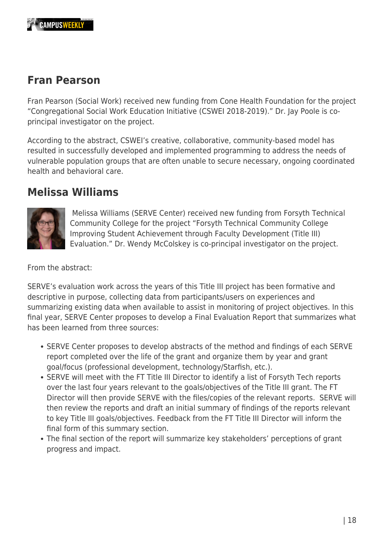# **Fran Pearson**

Fran Pearson (Social Work) received new funding from Cone Health Foundation for the project "Congregational Social Work Education Initiative (CSWEI 2018-2019)." Dr. Jay Poole is coprincipal investigator on the project.

According to the abstract, CSWEI's creative, collaborative, community-based model has resulted in successfully developed and implemented programming to address the needs of vulnerable population groups that are often unable to secure necessary, ongoing coordinated health and behavioral care.

### **Melissa Williams**



 Melissa Williams (SERVE Center) received new funding from Forsyth Technical Community College for the project "Forsyth Technical Community College Improving Student Achievement through Faculty Development (Title III) Evaluation." Dr. Wendy McColskey is co-principal investigator on the project.

From the abstract:

SERVE's evaluation work across the years of this Title III project has been formative and descriptive in purpose, collecting data from participants/users on experiences and summarizing existing data when available to assist in monitoring of project objectives. In this final year, SERVE Center proposes to develop a Final Evaluation Report that summarizes what has been learned from three sources:

- SERVE Center proposes to develop abstracts of the method and findings of each SERVE report completed over the life of the grant and organize them by year and grant goal/focus (professional development, technology/Starfish, etc.).
- SERVE will meet with the FT Title III Director to identify a list of Forsyth Tech reports over the last four years relevant to the goals/objectives of the Title III grant. The FT Director will then provide SERVE with the files/copies of the relevant reports. SERVE will then review the reports and draft an initial summary of findings of the reports relevant to key Title III goals/objectives. Feedback from the FT Title III Director will inform the final form of this summary section.
- The final section of the report will summarize key stakeholders' perceptions of grant progress and impact.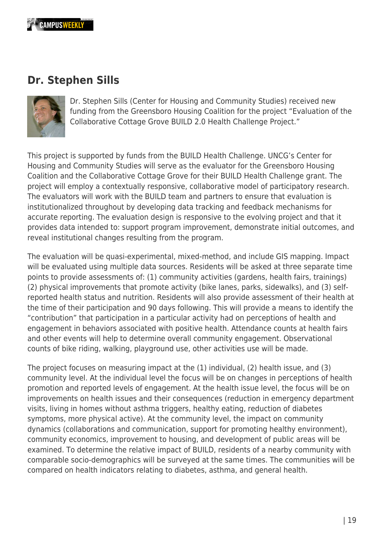

### **Dr. Stephen Sills**



Dr. Stephen Sills (Center for Housing and Community Studies) received new funding from the Greensboro Housing Coalition for the project "Evaluation of the Collaborative Cottage Grove BUILD 2.0 Health Challenge Project."

This project is supported by funds from the BUILD Health Challenge. UNCG's Center for Housing and Community Studies will serve as the evaluator for the Greensboro Housing Coalition and the Collaborative Cottage Grove for their BUILD Health Challenge grant. The project will employ a contextually responsive, collaborative model of participatory research. The evaluators will work with the BUILD team and partners to ensure that evaluation is institutionalized throughout by developing data tracking and feedback mechanisms for accurate reporting. The evaluation design is responsive to the evolving project and that it provides data intended to: support program improvement, demonstrate initial outcomes, and reveal institutional changes resulting from the program.

The evaluation will be quasi-experimental, mixed-method, and include GIS mapping. Impact will be evaluated using multiple data sources. Residents will be asked at three separate time points to provide assessments of: (1) community activities (gardens, health fairs, trainings) (2) physical improvements that promote activity (bike lanes, parks, sidewalks), and (3) selfreported health status and nutrition. Residents will also provide assessment of their health at the time of their participation and 90 days following. This will provide a means to identify the "contribution" that participation in a particular activity had on perceptions of health and engagement in behaviors associated with positive health. Attendance counts at health fairs and other events will help to determine overall community engagement. Observational counts of bike riding, walking, playground use, other activities use will be made.

The project focuses on measuring impact at the (1) individual, (2) health issue, and (3) community level. At the individual level the focus will be on changes in perceptions of health promotion and reported levels of engagement. At the health issue level, the focus will be on improvements on health issues and their consequences (reduction in emergency department visits, living in homes without asthma triggers, healthy eating, reduction of diabetes symptoms, more physical active). At the community level, the impact on community dynamics (collaborations and communication, support for promoting healthy environment), community economics, improvement to housing, and development of public areas will be examined. To determine the relative impact of BUILD, residents of a nearby community with comparable socio-demographics will be surveyed at the same times. The communities will be compared on health indicators relating to diabetes, asthma, and general health.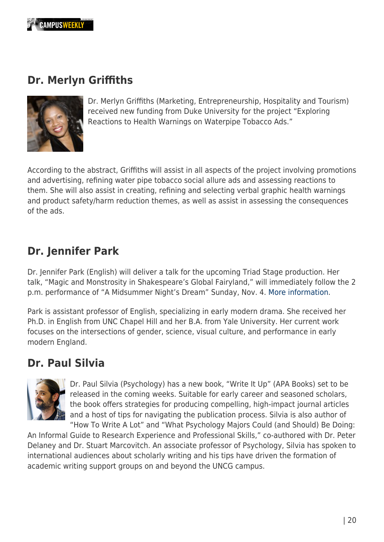

### **Dr. Merlyn Griffiths**



Dr. Merlyn Griffiths (Marketing, Entrepreneurship, Hospitality and Tourism) received new funding from Duke University for the project "Exploring Reactions to Health Warnings on Waterpipe Tobacco Ads."

According to the abstract, Griffiths will assist in all aspects of the project involving promotions and advertising, refining water pipe tobacco social allure ads and assessing reactions to them. She will also assist in creating, refining and selecting verbal graphic health warnings and product safety/harm reduction themes, as well as assist in assessing the consequences of the ads.

# **Dr. Jennifer Park**

Dr. Jennifer Park (English) will deliver a talk for the upcoming Triad Stage production. Her talk, "Magic and Monstrosity in Shakespeare's Global Fairyland," will immediately follow the 2 p.m. performance of "A Midsummer Night's Dream" Sunday, Nov. 4. [More information](https://www.facebook.com/events/1017164828464975/).

Park is assistant professor of English, specializing in early modern drama. She received her Ph.D. in English from UNC Chapel Hill and her B.A. from Yale University. Her current work focuses on the intersections of gender, science, visual culture, and performance in early modern England.

### **Dr. Paul Silvia**



Dr. Paul Silvia (Psychology) has a new book, "Write It Up" (APA Books) set to be released in the coming weeks. Suitable for early career and seasoned scholars, the book offers strategies for producing compelling, high-impact journal articles and a host of tips for navigating the publication process. Silvia is also author of "How To Write A Lot" and "What Psychology Majors Could (and Should) Be Doing:

An Informal Guide to Research Experience and Professional Skills," co-authored with Dr. Peter Delaney and Dr. Stuart Marcovitch. An associate professor of Psychology, Silvia has spoken to international audiences about scholarly writing and his tips have driven the formation of academic writing support groups on and beyond the UNCG campus.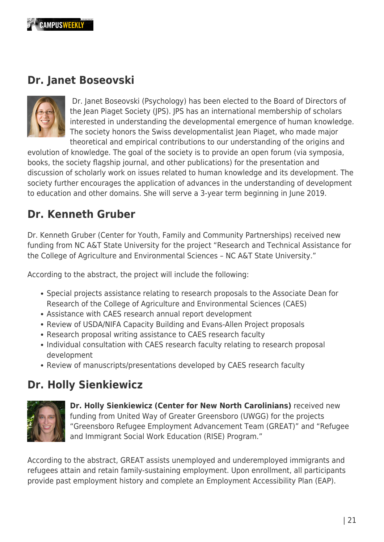

## **Dr. Janet Boseovski**



 Dr. Janet Boseovski (Psychology) has been elected to the Board of Directors of the Jean Piaget Society (JPS). JPS has an international membership of scholars interested in understanding the developmental emergence of human knowledge. The society honors the Swiss developmentalist Jean Piaget, who made major theoretical and empirical contributions to our understanding of the origins and

evolution of knowledge. The goal of the society is to provide an open forum (via symposia, books, the society flagship journal, and other publications) for the presentation and discussion of scholarly work on issues related to human knowledge and its development. The society further encourages the application of advances in the understanding of development to education and other domains. She will serve a 3-year term beginning in June 2019.

# **Dr. Kenneth Gruber**

Dr. Kenneth Gruber (Center for Youth, Family and Community Partnerships) received new funding from NC A&T State University for the project "Research and Technical Assistance for the College of Agriculture and Environmental Sciences – NC A&T State University."

According to the abstract, the project will include the following:

- Special projects assistance relating to research proposals to the Associate Dean for Research of the College of Agriculture and Environmental Sciences (CAES)
- Assistance with CAES research annual report development
- Review of USDA/NIFA Capacity Building and Evans-Allen Project proposals
- Research proposal writing assistance to CAES research faculty
- Individual consultation with CAES research faculty relating to research proposal development
- Review of manuscripts/presentations developed by CAES research faculty

### **Dr. Holly Sienkiewicz**



**Dr. Holly Sienkiewicz (Center for New North Carolinians)** received new funding from United Way of Greater Greensboro (UWGG) for the projects "Greensboro Refugee Employment Advancement Team (GREAT)" and "Refugee and Immigrant Social Work Education (RISE) Program."

According to the abstract, GREAT assists unemployed and underemployed immigrants and refugees attain and retain family-sustaining employment. Upon enrollment, all participants provide past employment history and complete an Employment Accessibility Plan (EAP).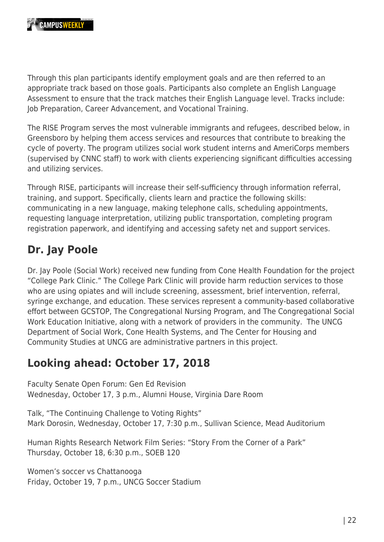

Through this plan participants identify employment goals and are then referred to an appropriate track based on those goals. Participants also complete an English Language Assessment to ensure that the track matches their English Language level. Tracks include: Job Preparation, Career Advancement, and Vocational Training.

The RISE Program serves the most vulnerable immigrants and refugees, described below, in Greensboro by helping them access services and resources that contribute to breaking the cycle of poverty. The program utilizes social work student interns and AmeriCorps members (supervised by CNNC staff) to work with clients experiencing significant difficulties accessing and utilizing services.

Through RISE, participants will increase their self-sufficiency through information referral, training, and support. Specifically, clients learn and practice the following skills: communicating in a new language, making telephone calls, scheduling appointments, requesting language interpretation, utilizing public transportation, completing program registration paperwork, and identifying and accessing safety net and support services.

# **Dr. Jay Poole**

Dr. Jay Poole (Social Work) received new funding from Cone Health Foundation for the project "College Park Clinic." The College Park Clinic will provide harm reduction services to those who are using opiates and will include screening, assessment, brief intervention, referral, syringe exchange, and education. These services represent a community-based collaborative effort between GCSTOP, The Congregational Nursing Program, and The Congregational Social Work Education Initiative, along with a network of providers in the community. The UNCG Department of Social Work, Cone Health Systems, and The Center for Housing and Community Studies at UNCG are administrative partners in this project.

# **Looking ahead: October 17, 2018**

Faculty Senate Open Forum: Gen Ed Revision Wednesday, October 17, 3 p.m., Alumni House, Virginia Dare Room

Talk, "The Continuing Challenge to Voting Rights" Mark Dorosin, Wednesday, October 17, 7:30 p.m., Sullivan Science, Mead Auditorium

Human Rights Research Network Film Series: "Story From the Corner of a Park" Thursday, October 18, 6:30 p.m., SOEB 120

Women's soccer vs Chattanooga Friday, October 19, 7 p.m., UNCG Soccer Stadium